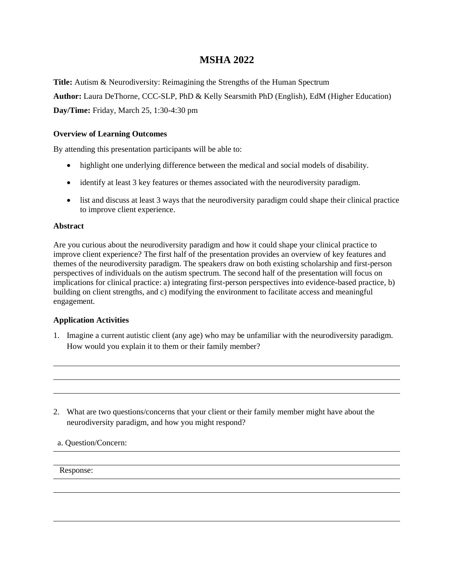# **MSHA 2022**

**Title:** Autism & Neurodiversity: Reimagining the Strengths of the Human Spectrum **Author:** Laura DeThorne, CCC-SLP, PhD & Kelly Searsmith PhD (English), EdM (Higher Education) **Day/Time:** Friday, March 25, 1:30-4:30 pm

## **Overview of Learning Outcomes**

By attending this presentation participants will be able to:

- highlight one underlying difference between the medical and social models of disability.
- identify at least 3 key features or themes associated with the neurodiversity paradigm.
- list and discuss at least 3 ways that the neurodiversity paradigm could shape their clinical practice to improve client experience.

# **Abstract**

Are you curious about the neurodiversity paradigm and how it could shape your clinical practice to improve client experience? The first half of the presentation provides an overview of key features and themes of the neurodiversity paradigm. The speakers draw on both existing scholarship and first-person perspectives of individuals on the autism spectrum. The second half of the presentation will focus on implications for clinical practice: a) integrating first-person perspectives into evidence-based practice, b) building on client strengths, and c) modifying the environment to facilitate access and meaningful engagement.

### **Application Activities**

- 1. Imagine a current autistic client (any age) who may be unfamiliar with the neurodiversity paradigm. How would you explain it to them or their family member?
- 2. What are two questions/concerns that your client or their family member might have about the neurodiversity paradigm, and how you might respond?

a. Question/Concern:

Response: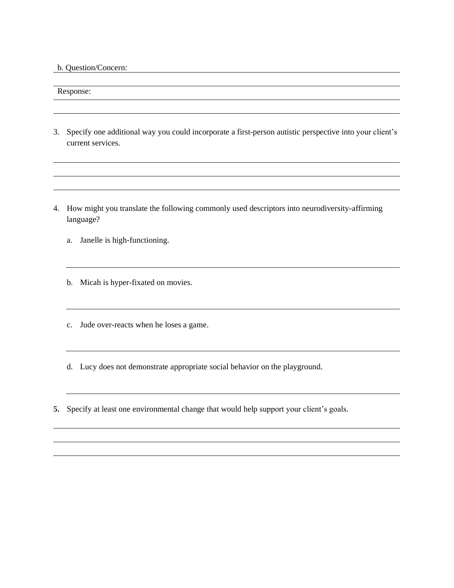b. Question/Concern:

Response:

3. Specify one additional way you could incorporate a first-person autistic perspective into your client's current services.

<u> 1980 - Johann Stoff, deutscher Stoff, der Stoff, der Stoff, der Stoff, der Stoff, der Stoff, der Stoff, der S</u>

- 4. How might you translate the following commonly used descriptors into neurodiversity-affirming language?
	- a. Janelle is high-functioning.
	- b. Micah is hyper-fixated on movies.
	- c. Jude over-reacts when he loses a game.
	- d. Lucy does not demonstrate appropriate social behavior on the playground.
- **5.** Specify at least one environmental change that would help support your client's goals.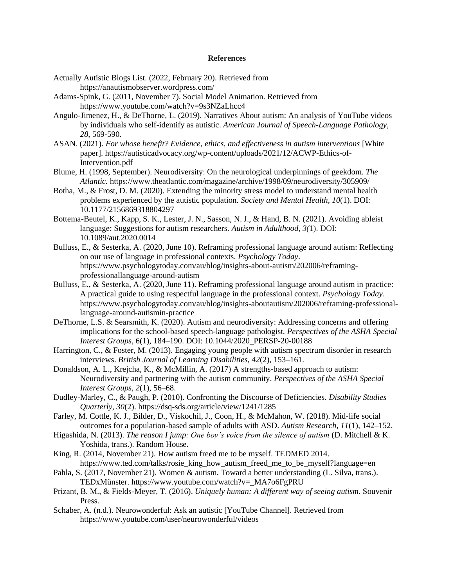#### **References**

- Actually Autistic Blogs List. (2022, February 20). Retrieved from <https://anautismobserver.wordpress.com/>
- Adams-Spink, G. (2011, November 7). Social Model Animation. Retrieved from <https://www.youtube.com/watch?v=9s3NZaLhcc4>
- Angulo-Jimenez, H., & DeThorne, L. (2019). Narratives About autism: An analysis of YouTube videos by individuals who self-identify as autistic. *American Journal of Speech-Language Pathology, 28*, 569-590.
- ASAN. (2021). *For whose benefit? Evidence, ethics, and effectiveness in autism interventions* [White paper]. https://autisticadvocacy.org/wp-content/uploads/2021/12/ACWP-Ethics-of-Intervention.pdf
- Blume, H. (1998, September). Neurodiversity: On the neurological underpinnings of geekdom. *The Atlantic.* https://www.theatlantic.com/magazine/archive/1998/09/neurodiversity/305909/
- Botha, M., & Frost, D. M. (2020). Extending the minority stress model to understand mental health problems experienced by the autistic population. *Society and Mental Health, 10*(1). DOI: 10.1177/2156869318804297
- Bottema-Beutel, K., Kapp, S. K., Lester, J. N., Sasson, N. J., & Hand, B. N. (2021). Avoiding ableist language: Suggestions for autism researchers. *Autism in Adulthood*, *3(*1). DOI: 10.1089/aut.2020.0014
- Bulluss, E., & Sesterka, A. (2020, June 10). Reframing professional language around autism: Reflecting on our use of language in professional contexts. *Psychology Today*. https://www.psychologytoday.com/au/blog/insights-about-autism/202006/reframingprofessionallanguage-around-autism
- Bulluss, E., & Sesterka, A. (2020, June 11). Reframing professional language around autism in practice: A practical guide to using respectful language in the professional context. *Psychology Today*. https://www.psychologytoday.com/au/blog/insights-aboutautism/202006/reframing-professionallanguage-around-autismin-practice
- DeThorne, L.S. & Searsmith, K. (2020). Autism and neurodiversity: Addressing concerns and offering implications for the school-based speech-language pathologist*. Perspectives of the ASHA Special Interest Groups*, 6(1), 184–190. DOI: 10.1044/2020\_PERSP-20-00188
- Harrington, C., & Foster, M. (2013). Engaging young people with autism spectrum disorder in research interviews. *British Journal of Learning Disabilities, 42*(2), 153–161.
- Donaldson, A. L., Krejcha, K., & McMillin, A. (2017) A strengths-based approach to autism: Neurodiversity and partnering with the autism community. *Perspectives of the ASHA Special Interest Groups, 2*(1), 56–68.
- Dudley-Marley, C., & Paugh, P. (2010). Confronting the Discourse of Deficiencies. *Disability Studies Quarterly, 30*(2). https://dsq-sds.org/article/view/1241/1285
- Farley, M. Cottle, K. J., Bilder, D., Viskochil, J., Coon, H., & McMahon, W. (2018). Mid-life social outcomes for a population-based sample of adults with ASD. *Autism Research, 11*(1), 142–152.
- Higashida, N. (2013). *The reason I jump: One boy's voice from the silence of autism* (D. Mitchell & K. Yoshida, trans.). Random House.
- King, R. (2014, November 21). How autism freed me to be myself. TEDMED 2014. https://www.ted.com/talks/rosie\_king\_how\_autism\_freed\_me\_to\_be\_myself?language=en
- Pahla, S. (2017, November 21). Women & autism. Toward a better understanding (L. Silva, trans.). TEDxMünster. https://www.youtube.com/watch?v=\_MA7o6FgPRU
- Prizant, B. M., & Fields-Meyer, T. (2016). *Uniquely human: A different way of seeing autism.* Souvenir Press.
- Schaber, A. (n.d.). Neurowonderful: Ask an autistic [YouTube Channel]. Retrieved from https://www.youtube.com/user/neurowonderful/videos